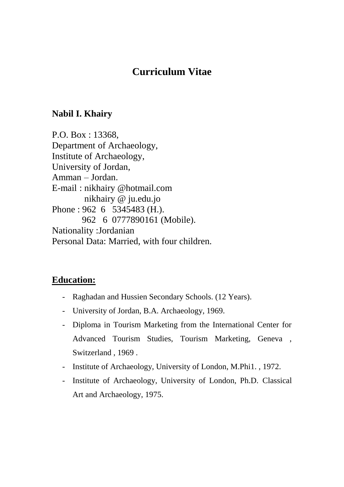# **Curriculum Vitae**

## **Nabil I. Khairy**

P.O. Box : 13368, Department of Archaeology, Institute of Archaeology, University of Jordan, Amman – Jordan. E-mail : nikhairy @hotmail.com nikhairy @ ju.edu.jo Phone : 962 6 5345483 (H.). 962 6 0777890161 (Mobile). Nationality :Jordanian Personal Data: Married, with four children.

## **Education:**

- Raghadan and Hussien Secondary Schools. (12 Years).
- University of Jordan, B.A. Archaeology, 1969.
- Diploma in Tourism Marketing from the International Center for Advanced Tourism Studies, Tourism Marketing, Geneva , Switzerland , 1969 .
- Institute of Archaeology, University of London, M.Phi1. , 1972.
- Institute of Archaeology, University of London, Ph.D. Classical Art and Archaeology, 1975.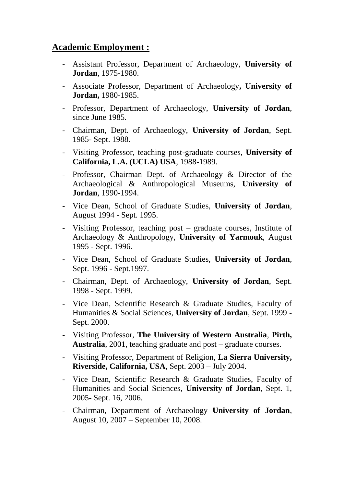## **Academic Employment :**

- Assistant Professor, Department of Archaeology, **University of Jordan**, 1975-1980.
- Associate Professor, Department of Archaeology**, University of Jordan,** 1980-1985.
- Professor, Department of Archaeology, **University of Jordan**, since June 1985.
- Chairman, Dept. of Archaeology, **University of Jordan**, Sept. 1985- Sept. 1988.
- Visiting Professor, teaching post-graduate courses, **University of California, L.A. (UCLA) USA**, 1988-1989.
- Professor, Chairman Dept. of Archaeology & Director of the Archaeological & Anthropological Museums, **University of Jordan**, 1990-1994.
- Vice Dean, School of Graduate Studies, **University of Jordan**, August 1994 - Sept. 1995.
- Visiting Professor, teaching post graduate courses, Institute of Archaeology & Anthropology, **University of Yarmouk**, August 1995 - Sept. 1996.
- Vice Dean, School of Graduate Studies, **University of Jordan**, Sept. 1996 - Sept.1997.
- Chairman, Dept. of Archaeology, **University of Jordan**, Sept. 1998 - Sept. 1999.
- Vice Dean, Scientific Research & Graduate Studies, Faculty of Humanities & Social Sciences, **University of Jordan**, Sept. 1999 - Sept. 2000.
- Visiting Professor, **The University of Western Australia**, **Pirth, Australia**, 2001, teaching graduate and post – graduate courses.
- Visiting Professor, Department of Religion, **La Sierra University, Riverside, California, USA**, Sept. 2003 – July 2004.
- Vice Dean, Scientific Research & Graduate Studies, Faculty of Humanities and Social Sciences, **University of Jordan**, Sept. 1, 2005- Sept. 16, 2006.
- Chairman, Department of Archaeology **University of Jordan**, August 10, 2007 – September 10, 2008.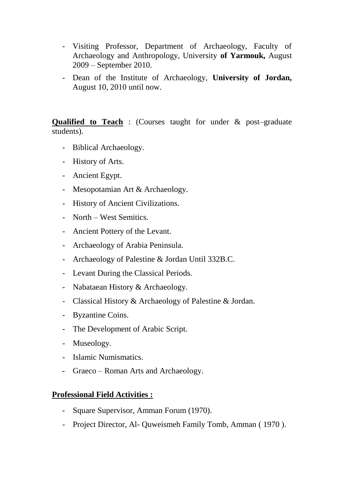- Visiting Professor, Department of Archaeology, Faculty of Archaeology and Anthropology, University **of Yarmouk,** August 2009 – September 2010.
- Dean of the Institute of Archaeology, **University of Jordan,**  August 10, 2010 until now.

**Qualified to Teach** : (Courses taught for under & post–graduate students).

- Biblical Archaeology.
- History of Arts.
- Ancient Egypt.
- Mesopotamian Art & Archaeology.
- History of Ancient Civilizations.
- North West Semitics.
- Ancient Pottery of the Levant.
- Archaeology of Arabia Peninsula.
- Archaeology of Palestine & Jordan Until 332B.C.
- Levant During the Classical Periods.
- Nabataean History & Archaeology.
- Classical History & Archaeology of Palestine & Jordan.
- Byzantine Coins.
- The Development of Arabic Script.
- Museology.
- Islamic Numismatics.
- Graeco Roman Arts and Archaeology.

#### **Professional Field Activities :**

- Square Supervisor, Amman Forum (1970).
- Project Director, Al- Quweismeh Family Tomb, Amman ( 1970 ).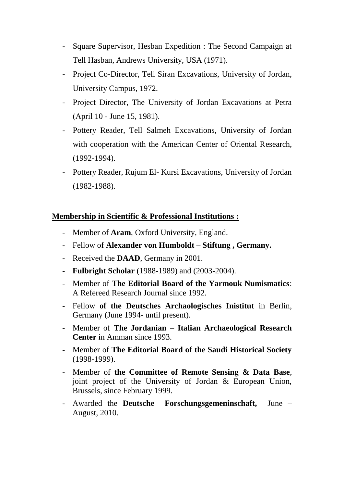- Square Supervisor, Hesban Expedition : The Second Campaign at Tell Hasban, Andrews University, USA (1971).
- Project Co-Director, Tell Siran Excavations, University of Jordan, University Campus, 1972.
- Project Director, The University of Jordan Excavations at Petra (April 10 - June 15, 1981).
- Pottery Reader, Tell Salmeh Excavations, University of Jordan with cooperation with the American Center of Oriental Research, (1992-1994).
- Pottery Reader, Rujum El- Kursi Excavations, University of Jordan (1982-1988).

### **Membership in Scientific & Professional Institutions :**

- Member of **Aram**, Oxford University, England.
- Fellow of **Alexander von Humboldt – Stiftung , Germany.**
- Received the **DAAD**, Germany in 2001.
- **Fulbright Scholar** (1988-1989) and (2003-2004).
- Member of **The Editorial Board of the Yarmouk Numismatics**: A Refereed Research Journal since 1992.
- Fellow **of the Deutsches Archaologisches Inistitut** in Berlin, Germany (June 1994- until present).
- Member of **The Jordanian – Italian Archaeological Research Center** in Amman since 1993.
- Member of **The Editorial Board of the Saudi Historical Society** (1998-1999).
- Member of **the Committee of Remote Sensing & Data Base**, joint project of the University of Jordan & European Union, Brussels, since February 1999.
- Awarded the **Deutsche Forschungsgemeninschaft,** June August, 2010.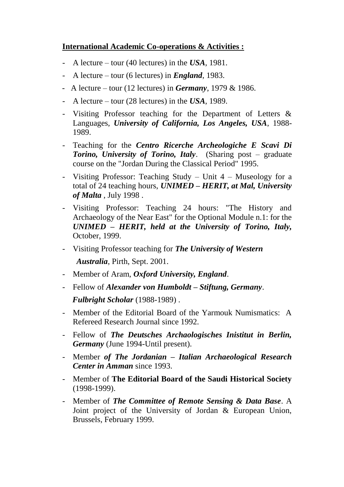#### **International Academic Co-operations & Activities :**

- A lecture tour (40 lectures) in the *USA*, 1981.
- A lecture tour (6 lectures) in *England*, 1983.
- A lecture tour (12 lectures) in *Germany*, 1979 & 1986.
- A lecture tour (28 lectures) in the *USA*, 1989.
- Visiting Professor teaching for the Department of Letters & Languages, *University of California, Los Angeles, USA*, 1988- 1989.
- Teaching for the *Centro Ricerche Archeologiche E Scavi Di Torino, University of Torino, Italy*. (Sharing post – graduate course on the "Jordan During the Classical Period" 1995.
- Visiting Professor: Teaching Study Unit 4 Museology for a total of 24 teaching hours, *UNIMED – HERIT, at Mal, University of Malta* , July 1998 .
- Visiting Professor: Teaching 24 hours: "The History and Archaeology of the Near East" for the Optional Module n.1: for the *UNIMED – HERIT, held at the University of Torino, Italy,* October, 1999.
- Visiting Professor teaching for *The University of Western Australia*, Pirth, Sept. 2001.
- Member of Aram, *Oxford University, England*.
- Fellow of *Alexander von Humboldt – Stiftung, Germany*.  *Fulbright Scholar* (1988-1989) .
- Member of the Editorial Board of the Yarmouk Numismatics: A Refereed Research Journal since 1992.
- Fellow of *The Deutsches Archaologisches Inistitut in Berlin, Germany* (June 1994-Until present).
- Member *of The Jordanian – Italian Archaeological Research Center in Amman* since 1993.
- Member of **The Editorial Board of the Saudi Historical Society**  (1998-1999).
- Member of *The Committee of Remote Sensing & Data Base*. A Joint project of the University of Jordan & European Union, Brussels, February 1999.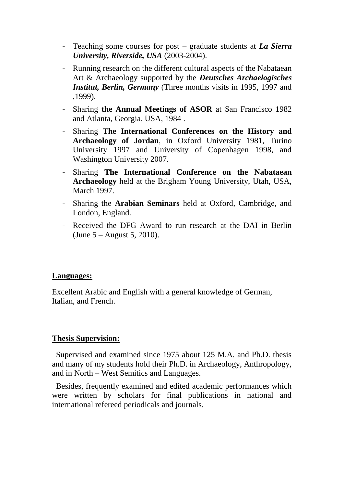- Teaching some courses for post graduate students at *La Sierra University, Riverside, USA* (2003-2004).
- Running research on the different cultural aspects of the Nabataean Art & Archaeology supported by the *Deutsches Archaelogisches Institut, Berlin, Germany* (Three months visits in 1995, 1997 and ,1999).
- Sharing **the Annual Meetings of ASOR** at San Francisco 1982 and Atlanta, Georgia, USA, 1984 .
- Sharing **The International Conferences on the History and Archaeology of Jordan**, in Oxford University 1981, Turino University 1997 and University of Copenhagen 1998, and Washington University 2007.
- Sharing **The International Conference on the Nabataean Archaeology** held at the Brigham Young University, Utah, USA, March 1997.
- Sharing the **Arabian Seminars** held at Oxford, Cambridge, and London, England.
- Received the DFG Award to run research at the DAI in Berlin (June 5 – August 5, 2010).

#### **Languages:**

Excellent Arabic and English with a general knowledge of German, Italian, and French.

#### **Thesis Supervision:**

 Supervised and examined since 1975 about 125 M.A. and Ph.D. thesis and many of my students hold their Ph.D. in Archaeology, Anthropology, and in North – West Semitics and Languages.

 Besides, frequently examined and edited academic performances which were written by scholars for final publications in national and international refereed periodicals and journals.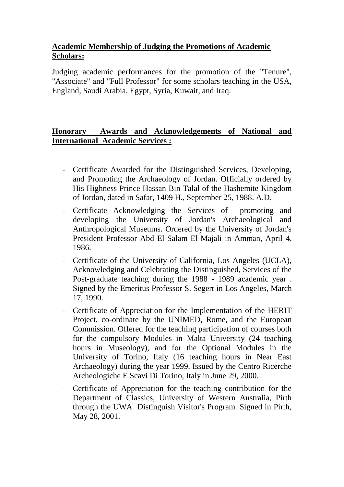## **Academic Membership of Judging the Promotions of Academic Scholars:**

Judging academic performances for the promotion of the "Tenure", "Associate" and "Full Professor" for some scholars teaching in the USA, England, Saudi Arabia, Egypt, Syria, Kuwait, and Iraq.

## **Honorary Awards and Acknowledgements of National and International Academic Services :**

- Certificate Awarded for the Distinguished Services, Developing, and Promoting the Archaeology of Jordan. Officially ordered by His Highness Prince Hassan Bin Talal of the Hashemite Kingdom of Jordan, dated in Safar, 1409 H., September 25, 1988. A.D.
- Certificate Acknowledging the Services of promoting and developing the University of Jordan's Archaeological and Anthropological Museums. Ordered by the University of Jordan's President Professor Abd El-Salam El-Majali in Amman, April 4, 1986.
- Certificate of the University of California, Los Angeles (UCLA), Acknowledging and Celebrating the Distinguished, Services of the Post-graduate teaching during the 1988 - 1989 academic year . Signed by the Emeritus Professor S. Segert in Los Angeles, March 17, 1990.
- Certificate of Appreciation for the Implementation of the HERIT Project, co-ordinate by the UNIMED, Rome, and the European Commission. Offered for the teaching participation of courses both for the compulsory Modules in Malta University (24 teaching hours in Museology), and for the Optional Modules in the University of Torino, Italy (16 teaching hours in Near East Archaeology) during the year 1999. Issued by the Centro Ricerche Archeologiche E Scavi Di Torino, Italy in June 29, 2000.
- Certificate of Appreciation for the teaching contribution for the Department of Classics, University of Western Australia, Pirth through the UWA Distinguish Visitor's Program. Signed in Pirth, May 28, 2001.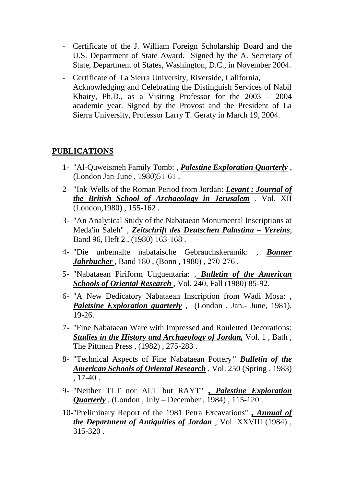- Certificate of the J. William Foreign Scholarship Board and the U.S. Department of State Award. Signed by the A. Secretary of State, Department of States, Washington, D.C., in November 2004.
- Certificate of La Sierra University, Riverside, California, Acknowledging and Celebrating the Distinguish Services of Nabil Khairy, Ph.D., as a Visiting Professor for the 2003 – 2004 academic year. Signed by the Provost and the President of La Sierra University, Professor Larry T. Geraty in March 19, 2004.

### **PUBLICATIONS**

- 1- "Al-Quweismeh Family Tomb: , *Palestine Exploration Quarterly* , (London Jan-June , 1980)51-61 .
- 2- "Ink-Wells of the Roman Period from Jordan: *Levant : Journal of the British School of Archaeology in Jerusalem* . Vol. XII (London,1980) , 155-162 .
- 3- "An Analytical Study of the Nabataean Monumental Inscriptions at Meda'in Saleh" , *Zeitschrift des Deutschen Palastina – Vereins*, Band 96, Heft 2 , (1980) 163-168 .
- 4- "Die unbemalte nabataische Gebrauchskeramik: , *Bonner Jahrbucher* , Band 180 , (Bonn , 1980) , 270-276 .
- 5- "Nabataean Piriform Unguentaria: , *Bulletin of the American*  **Schools of Oriental Research**, Vol. 240, Fall (1980) 85-92.
- 6- "A New Dedicatory Nabataean Inscription from Wadi Mosa: , *Paletsine Exploration quarterly* , (London , Jan.- June, 1981), 19-26.
- 7- "Fine Nabataean Ware with Impressed and Rouletted Decorations: *Studies in the History and Archaeology of Jordan,* Vol. 1 , Bath , The Pittman Press , (1982) , 275-283 .
- 8- "Technical Aspects of Fine Nabataean Pottery*" Bulletin of the American Schools of Oriental Research* , Vol. 250 (Spring , 1983) , 17-40 .
- 9- "Neither TLT nor ALT but RAYT" *, Palestine Exploration Quarterly* , (London , July – December , 1984) , 115-120 .
- 10-"Preliminary Report of the 1981 Petra Excavations" *, Annual of the Department of Antiquities of Jordan* , Vol. XXVIII (1984) , 315-320 .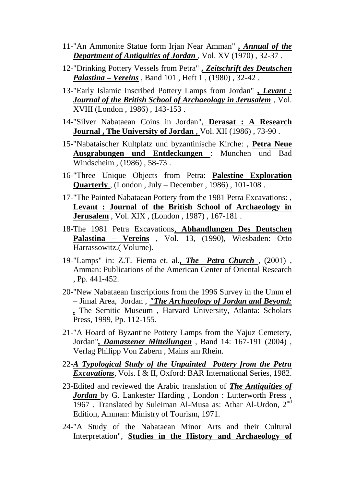- 11-"An Ammonite Statue form Irjan Near Amman" *, Annual of the*  **Department of Antiquities of Jordan**, Vol. XV (1970), 32-37.
- 12-"Drinking Pottery Vessels from Petra" *, Zeitschrift des Deutschen Palastina – Vereins* , Band 101 , Heft 1 , (1980) , 32-42 .
- 13-"Early Islamic Inscribed Pottery Lamps from Jordan" *, Levant : Journal of the British School of Archaeology in Jerusalem* , Vol. XVIII (London , 1986) , 143-153 .
- 14-"Silver Nabataean Coins in Jordan", **Derasat : A Research Journal , The University of Jordan** , Vol. XII (1986) , 73-90 .
- 15-"Nabataischer Kultplatz und byzantinische Kirche: , **Petra Neue Ausgrabungen und Entdeckungen** : Munchen und Bad Windscheim , (1986) , 58-73 .
- 16-"Three Unique Objects from Petra: **Palestine Exploration Quarterly** , (London , July – December , 1986) , 101-108 .
- 17-"The Painted Nabataean Pottery from the 1981 Petra Excavations: , **Levant : Journal of the British School of Archaeology in Jerusalem** , Vol. XIX , (London , 1987) , 167-181 .
- 18-The 1981 Petra Excavations, **Abhandlungen Des Deutschen Palastina – Vereins** , Vol. 13, (1990), Wiesbaden: Otto Harrassowitz.( Volume).
- 19-"Lamps" in: Z.T. Fiema et. al.*, The Petra Church* , (2001) , Amman: Publications of the American Center of Oriental Research , Pp. 441-452.
- 20-"New Nabataean Inscriptions from the 1996 Survey in the Umm el – Jimal Area, Jordan , *"The Archaeology of Jordan and Beyond: ,* The Semitic Museum , Harvard University, Atlanta: Scholars Press, 1999, Pp. 112-155.
- 21-"A Hoard of Byzantine Pottery Lamps from the Yajuz Cemetery, Jordan"*, Damaszener Mitteilungen* , Band 14: 167-191 (2004) , Verlag Philipp Von Zabern , Mains am Rhein.
- 22-*A Typological Study of the Unpainted Pottery from the Petra Excavations*, Vols. I & II, Oxford: BAR International Series, 1982.
- 23-Edited and reviewed the Arabic translation of *The Antiquities of Jordan* by G. Lankester Harding, London: Lutterworth Press 1967 . Translated by Suleiman Al-Musa as: Athar Al-Urdon, 2nd Edition, Amman: Ministry of Tourism, 1971.
- 24-"A Study of the Nabataean Minor Arts and their Cultural Interpretation", **Studies in the History and Archaeology of**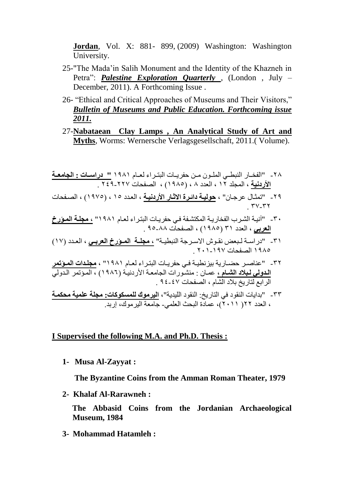**Jordan**, Vol. X: 881- 899, (2009) Washington: Washington University.

- 25-"The Mada'in Salih Monument and the Identity of the Khazneh in Petra": *Palestine Exploration Quarterly* , (London , July – December, 2011). A Forthcoming Issue .
- 26- "Ethical and Critical Approaches of Museums and Their Visitors," *Bulletin of Museums and Public Education. Forthcoming issue 2011.*
- 27-**Nabataean Clay Lamps , An Analytical Study of Art and Myths**, Worms: Wernersche Verlagsgesellschaft, 2011.( Volume).

-82 "الفخااال الي اااو الن اايا اات اف لااا ال اا ا ل ااا 1821 **" دراساا: ل امع: اا األردني** ، النج ذ 18 ، ال ذد 2 ، )1821( ، الصفحا 848-882 .

- ٢٩ "تمثـال عر جـان" ، <mark>حوليـة دائـرة الاثـار الأردنيـة</mark> ، العدد ١٥ ، (١٩٧٥) ، الصـفحات .  $\mathsf{rv}$ - $\mathsf{rv}$
- ٣٠ "آنيـة الشـرب الفخاريـة المكتشـفة فـي حفريـات البتـراء لعـام ١٩٨١" <mark>، مجلـة المـؤرخ</mark> <mark>العربي</mark> ، العدد ٣١ (١٩٨٥) ، الصفحات ٨٨-٩٥ <sub>.</sub>
- ٣١ "دراســة لـبعض نقـوش الاسـرجة النبطيــة" <mark>، مجلــة المــؤرخ الـعربــي</mark> ، الـعـدد (١٧) ١٩٨٥ الصفحات ١٩٧-٢٠١ .
	- ٣٢ "عناصـر حضـارية بيزنطيـة فـي حفريـات البتـراء لعـام ١٩٨١" ، <mark>مجلـدات المـؤتمر</mark> ا**لدولي لبلاد الشــام ،** عمـان : منشـورات الجامعـة الأردنيـة (١٩٨٦) ، المـؤتمر الـدولي الرابع لتاريخ بلاد الشام ، الصفحات ٤٧-٩٤ .
	- ٣٣ "بدايات النقود في التاريخ<sub>.</sub> النقود الليدية"، <mark>اليرموك للمسكوكات: مجلة علمية محكمـة</mark> ، العدد ٢٢( ٢٠١١)، عمادة البحث العلمي- جامعة اليرموك، إربد.

#### **I Supervised the following M.A. and Ph.D. Thesis :**

**1- Musa Al-Zayyat :** 

 **The Byzantine Coins from the Amman Roman Theater, 1979**

**2- Khalaf Al-Rarawneh :** 

 **The Abbasid Coins from the Jordanian Archaeological Museum, 1984**

**3- Mohammad Hatamleh :**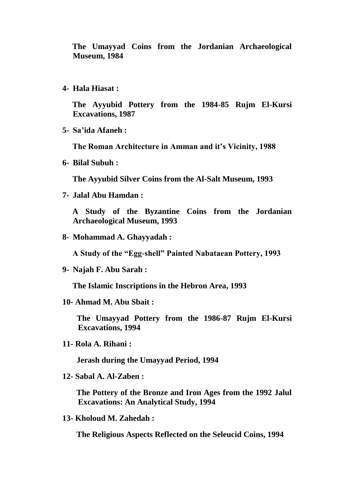**The Umayyad Coins from the Jordanian Archaeological Museum, 1984**

**4- Hala Hiasat :**

 **The Ayyubid Pottery from the 1984-85 Rujm El-Kursi Excavations, 1987**

**5- Sa'ida Afaneh :**

 **The Roman Architecture in Amman and it's Vicinity, 1988**

**6- Bilal Subuh :** 

 **The Ayyubid Silver Coins from the Al-Salt Museum, 1993**

**7- Jalal Abu Hamdan :**

 **A Study of the Byzantine Coins from the Jordanian Archaeological Museum, 1993**

**8- Mohammad A. Ghayyadah :**

 **A Study of the "Egg-shell" Painted Nabataean Pottery, 1993**

**9- Najah F. Abu Sarah :**

 **The Islamic Inscriptions in the Hebron Area, 1993**

**10- Ahmad M. Abu Sbait :**

 **The Umayyad Pottery from the 1986-87 Rujm El-Kursi Excavations, 1994**

**11- Rola A. Rihani :**

 **Jerash during the Umayyad Period, 1994**

**12- Sabal A. Al-Zaben :** 

 **The Pottery of the Bronze and Iron Ages from the 1992 Jalul Excavations: An Analytical Study, 1994**

**13- Kholoud M. Zahedah :**

 **The Religious Aspects Reflected on the Seleucid Coins, 1994**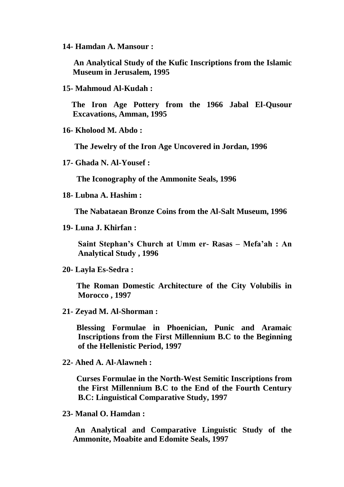**14- Hamdan A. Mansour :** 

 **An Analytical Study of the Kufic Inscriptions from the Islamic Museum in Jerusalem, 1995**

**15- Mahmoud Al-Kudah :** 

 **The Iron Age Pottery from the 1966 Jabal El-Qusour Excavations, Amman, 1995** 

**16- Kholood M. Abdo :** 

 **The Jewelry of the Iron Age Uncovered in Jordan, 1996**

**17- Ghada N. Al-Yousef :**

 **The Iconography of the Ammonite Seals, 1996**

**18- Lubna A. Hashim :** 

 **The Nabataean Bronze Coins from the Al-Salt Museum, 1996**

**19- Luna J. Khirfan :**

**Saint Stephan's Church at Umm er- Rasas – Mefa'ah : An Analytical Study , 1996**

 **The Roman Domestic Architecture of the City Volubilis in Morocco , 1997** 

**21- Zeyad M. Al-Shorman :** 

 **Blessing Formulae in Phoenician, Punic and Aramaic Inscriptions from the First Millennium B.C to the Beginning of the Hellenistic Period, 1997**

**22- Ahed A. Al-Alawneh :**

 **Curses Formulae in the North-West Semitic Inscriptions from the First Millennium B.C to the End of the Fourth Century B.C: Linguistical Comparative Study, 1997**

**23- Manal O. Hamdan :** 

**An Analytical and Comparative Linguistic Study of the Ammonite, Moabite and Edomite Seals, 1997**

**<sup>20-</sup> Layla Es-Sedra :**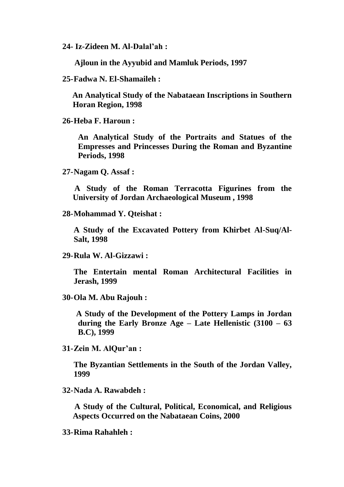**24- Iz-Zideen M. Al-Dalal'ah :**

 **Ajloun in the Ayyubid and Mamluk Periods, 1997**

**25-Fadwa N. El-Shamaileh :** 

 **An Analytical Study of the Nabataean Inscriptions in Southern Horan Region, 1998**

**26-Heba F. Haroun :** 

**An Analytical Study of the Portraits and Statues of the Empresses and Princesses During the Roman and Byzantine Periods, 1998**

**27-Nagam Q. Assaf :** 

 **A Study of the Roman Terracotta Figurines from the University of Jordan Archaeological Museum , 1998**

**28-Mohammad Y. Qteishat :** 

**A Study of the Excavated Pottery from Khirbet Al-Suq/Al-Salt, 1998** 

**29-Rula W. Al-Gizzawi :** 

**The Entertain mental Roman Architectural Facilities in Jerash, 1999**

**30-Ola M. Abu Rajouh :** 

 **A Study of the Development of the Pottery Lamps in Jordan during the Early Bronze Age – Late Hellenistic (3100 – 63 B.C), 1999**

**31-Zein M. AlQur'an :** 

**The Byzantian Settlements in the South of the Jordan Valley, 1999**

**32-Nada A. Rawabdeh :** 

 **A Study of the Cultural, Political, Economical, and Religious Aspects Occurred on the Nabataean Coins, 2000**

**33-Rima Rahahleh :**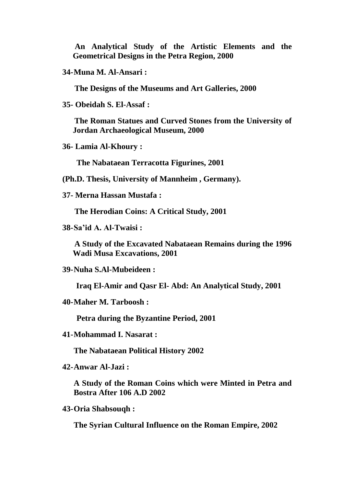**An Analytical Study of the Artistic Elements and the Geometrical Designs in the Petra Region, 2000**

```
34-Muna M. Al-Ansari :
```
 **The Designs of the Museums and Art Galleries, 2000**

**35- Obeidah S. El-Assaf :** 

 **The Roman Statues and Curved Stones from the University of Jordan Archaeological Museum, 2000**

**36- Lamia Al-Khoury :**

 **The Nabataean Terracotta Figurines, 2001** 

**(Ph.D. Thesis, University of Mannheim , Germany).** 

**37- Merna Hassan Mustafa :** 

 **The Herodian Coins: A Critical Study, 2001**

**38-Sa'id A. Al-Twaisi :**

 **A Study of the Excavated Nabataean Remains during the 1996 Wadi Musa Excavations, 2001**

**39-Nuha S.Al-Mubeideen :** 

 **Iraq El-Amir and Qasr El- Abd: An Analytical Study, 2001**

**40-Maher M. Tarboosh :** 

 **Petra during the Byzantine Period, 2001**

**41-Mohammad I. Nasarat :** 

**The Nabataean Political History 2002** 

**42-Anwar Al-Jazi :** 

**A Study of the Roman Coins which were Minted in Petra and Bostra After 106 A.D 2002** 

**43-Oria Shabsouqh :**

**The Syrian Cultural Influence on the Roman Empire, 2002**